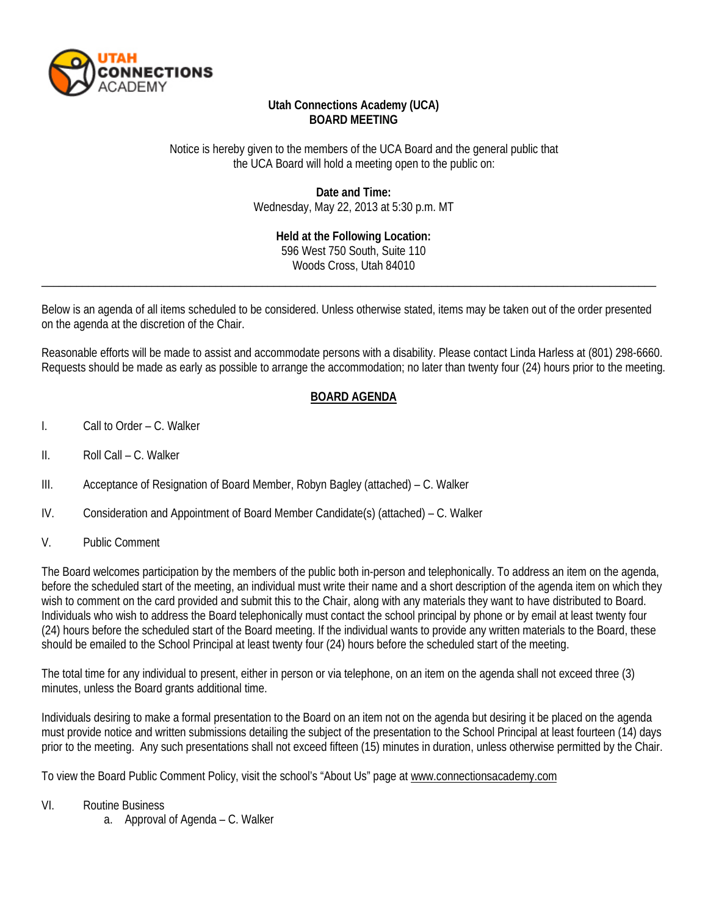

# **Utah Connections Academy (UCA) BOARD MEETING**

### Notice is hereby given to the members of the UCA Board and the general public that the UCA Board will hold a meeting open to the public on:

**Date and Time:** Wednesday, May 22, 2013 at 5:30 p.m. MT

> **Held at the Following Location:** 596 West 750 South, Suite 110 Woods Cross, Utah 84010

Below is an agenda of all items scheduled to be considered. Unless otherwise stated, items may be taken out of the order presented on the agenda at the discretion of the Chair.

\_\_\_\_\_\_\_\_\_\_\_\_\_\_\_\_\_\_\_\_\_\_\_\_\_\_\_\_\_\_\_\_\_\_\_\_\_\_\_\_\_\_\_\_\_\_\_\_\_\_\_\_\_\_\_\_\_\_\_\_\_\_\_\_\_\_\_\_\_\_\_\_\_\_\_\_\_\_\_\_\_\_\_\_\_\_\_\_\_\_\_\_\_\_\_\_\_\_\_\_\_\_\_\_\_\_

Reasonable efforts will be made to assist and accommodate persons with a disability. Please contact Linda Harless at (801) 298-6660. Requests should be made as early as possible to arrange the accommodation; no later than twenty four (24) hours prior to the meeting.

# **BOARD AGENDA**

- I. Call to Order C. Walker
- II. Roll Call C. Walker
- III. Acceptance of Resignation of Board Member, Robyn Bagley (attached) C. Walker
- IV. Consideration and Appointment of Board Member Candidate(s) (attached) C. Walker
- V. Public Comment

The Board welcomes participation by the members of the public both in-person and telephonically. To address an item on the agenda, before the scheduled start of the meeting, an individual must write their name and a short description of the agenda item on which they wish to comment on the card provided and submit this to the Chair, along with any materials they want to have distributed to Board. Individuals who wish to address the Board telephonically must contact the school principal by phone or by email at least twenty four (24) hours before the scheduled start of the Board meeting. If the individual wants to provide any written materials to the Board, these should be emailed to the School Principal at least twenty four (24) hours before the scheduled start of the meeting.

The total time for any individual to present, either in person or via telephone, on an item on the agenda shall not exceed three (3) minutes, unless the Board grants additional time.

Individuals desiring to make a formal presentation to the Board on an item not on the agenda but desiring it be placed on the agenda must provide notice and written submissions detailing the subject of the presentation to the School Principal at least fourteen (14) days prior to the meeting. Any such presentations shall not exceed fifteen (15) minutes in duration, unless otherwise permitted by the Chair.

To view the Board Public Comment Policy, visit the school's "About Us" page at [www.connectionsacademy.com](http://www.connectionsacademy.com/)

#### VI. Routine Business

a. Approval of Agenda – C. Walker